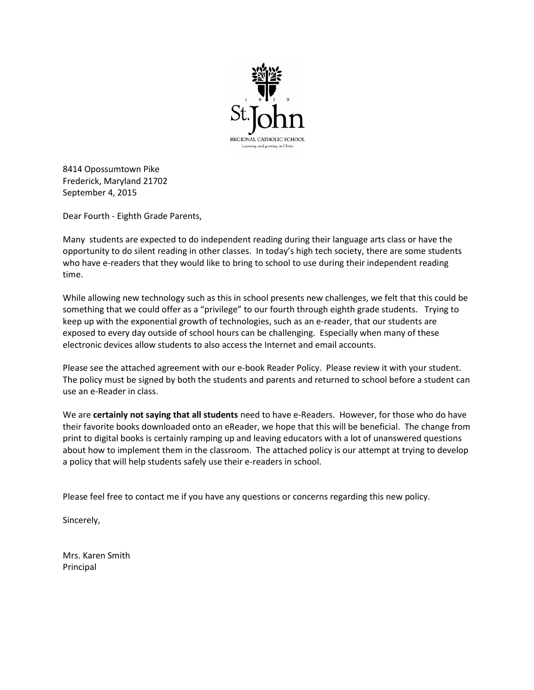

8414 Opossumtown Pike Frederick, Maryland 21702 September 4, 2015

Dear Fourth - Eighth Grade Parents,

Many students are expected to do independent reading during their language arts class or have the opportunity to do silent reading in other classes. In today's high tech society, there are some students who have e-readers that they would like to bring to school to use during their independent reading time.

While allowing new technology such as this in school presents new challenges, we felt that this could be something that we could offer as a "privilege" to our fourth through eighth grade students. Trying to keep up with the exponential growth of technologies, such as an e-reader, that our students are exposed to every day outside of school hours can be challenging. Especially when many of these electronic devices allow students to also access the Internet and email accounts.

Please see the attached agreement with our e-book Reader Policy. Please review it with your student. The policy must be signed by both the students and parents and returned to school before a student can use an e-Reader in class.

We are **certainly not saying that all students** need to have e-Readers. However, for those who do have their favorite books downloaded onto an eReader, we hope that this will be beneficial. The change from print to digital books is certainly ramping up and leaving educators with a lot of unanswered questions about how to implement them in the classroom. The attached policy is our attempt at trying to develop a policy that will help students safely use their e-readers in school.

Please feel free to contact me if you have any questions or concerns regarding this new policy.

Sincerely,

Mrs. Karen Smith Principal